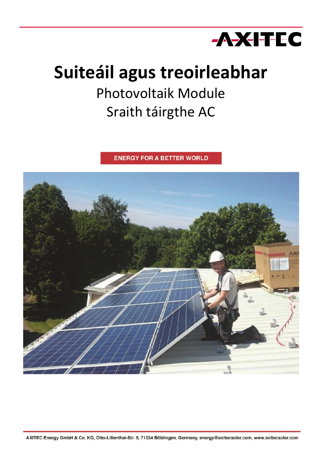

# **Suiteáil agus treoirleabhar**

## Photovoltaik Module Sraith táirgthe AC

**ENERGY FOR A BETTER WORLD** 

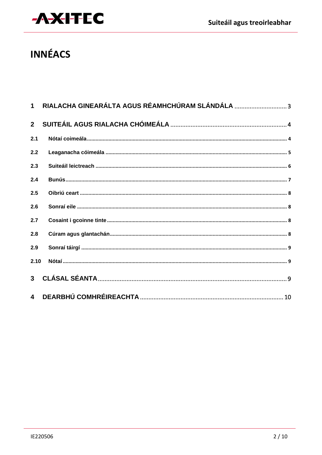

### **INNÉACS**

|                | 1 RIALACHA GINEARÁLTA AGUS RÉAMHCHÚRAM SLÁNDÁLA |
|----------------|-------------------------------------------------|
| 2 <sup>1</sup> |                                                 |
| 2.1            |                                                 |
| 2.2            |                                                 |
| 2.3            |                                                 |
| 2.4            |                                                 |
| 2.5            |                                                 |
| 2.6            |                                                 |
| 2.7            |                                                 |
| 2.8            |                                                 |
| 2.9            |                                                 |
| 2.10           |                                                 |
|                |                                                 |
|                |                                                 |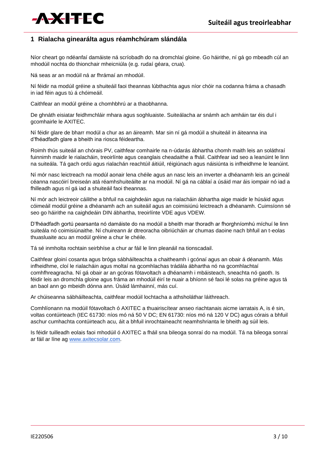

#### **1 Rialacha ginearálta agus réamhchúram slándála**

Níor cheart go ndéanfaí damáiste ná scríobadh do na dromchlaí gloine. Go háirithe, ní gá go mbeadh cúl an mhodúil nochta do thionchair mheicniúla (e.g. rudaí géara, crua).

Ná seas ar an modúil ná ar fhrámaí an mhodúil.

Ní féidir na modúil gréine a shuiteáil faoi theannas lúbthachta agus níor chóir na codanna fráma a chasadh in iad féin agus tú á chóimeáil.

Caithfear an modúl gréine a chomhbhrú ar a thaobhanna.

De ghnáth eisiatar feidhmchláir mhara agus soghluaiste. Suiteálacha ar snámh ach amháin tar éis dul i gcomhairle le AXITEC.

Ní féidir glare de bharr modúl a chur as an áireamh. Mar sin ní gá modúil a shuiteáil in áiteanna ina d'fhéadfadh glare a bheith ina riosca féideartha.

Roimh thús suiteáil an chórais PV, caithfear comhairle na n-údarás ábhartha chomh maith leis an soláthraí fuinnimh maidir le rialacháin, treoirlínte agus ceanglais cheadaithe a fháil. Caithfear iad seo a leanúint le linn na suiteála. Tá gach ordú agus rialachán reachtúil áitiúil, réigiúnach agus náisiúnta is infheidhme le leanúint.

Ní mór nasc leictreach na modúl aonair lena chéile agus an nasc leis an inverter a dhéanamh leis an gcineál céanna nascóirí breiseán atá réamhshuiteáilte ar na modúil. Ní gá na cáblaí a úsáid mar áis iompair nó iad a fhilleadh agus ní gá iad a shuiteáil faoi theannas.

Ní mór ach leictreoir cáilithe a bhfuil na caighdeáin agus na rialacháin ábhartha aige maidir le húsáid agus cóimeáil modúl gréine a dhéanamh ach an suiteáil agus an coimisiúnú leictreach a dhéanamh. Cuimsíonn sé seo go háirithe na caighdeáin DIN ábhartha, treoirlínte VDE agus VDEW.

D'fhéadfadh gortú pearsanta nó damáiste do na modúil a bheith mar thoradh ar fhorghníomhú míchuí le linn suiteála nó coimisiúnaithe. Ní chuireann ár dtreoracha oibriúcháin ar chumas daoine nach bhfuil an t-eolas thuasluaite acu an modúl gréine a chur le chéile.

Tá sé inmholta rochtain seirbhíse a chur ar fáil le linn pleanáil na tionscadail.

Caithfear gloiní cosanta agus bróga sábháilteachta a chaitheamh i gcónaí agus an obair á déanamh. Más infheidhme, cloí le rialacháin agus moltaí na gcomhlachas trádála ábhartha nó na gcomhlachtaí comhfhreagracha. Ní gá obair ar an gcóras fótavoltach a dhéanamh i mbáisteach, sneachta nó gaoth. Is féidir leis an dromchla gloine agus fráma an mhodúil éirí te nuair a bhíonn sé faoi lé solas na gréine agus tá an baol ann go mbeidh dónna ann. Úsáid lámhainní, más cuí.

Ar chúiseanna sábháilteachta, caithfear modúil lochtacha a athsholáthar láithreach.

Comhlíonann na modúil fótavoltach ó AXITEC a thuairiscítear anseo riachtanais aicme iarratais A, is é sin, voltas contúirteach (IEC 61730: níos mó ná 50 V DC; EN 61730: níos mó ná 120 V DC) agus córais a bhfuil aschur cumhachta contúirteach acu, áit a bhfuil inrochtaineacht neamhshrianta le bheith ag súil leis.

Is féidir tuilleadh eolais faoi mhodúil ó AXITEC a fháil sna bileoga sonraí do na modúil. Tá na bileoga sonraí ar fáil ar líne ag [www.axitecsolar.com.](http://www.axitecsolar.com/)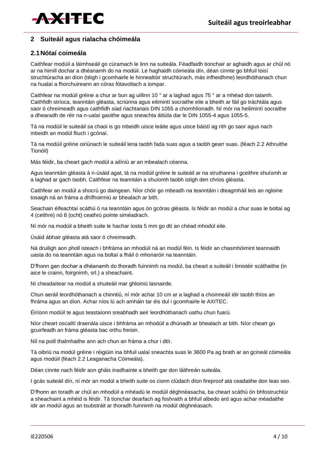

#### **2 Suiteáil agus rialacha chóimeála**

#### **2.1Nótaí coimeála**

Caithfear modúil a láimhseáil go cúramach le linn na suiteála. Féadfaidh tionchair ar aghaidh agus ar chúl nó ar na himill dochar a dhéanamh do na modúil. Le haghaidh cóimeála dín, déan cinnte go bhfuil toisí struchtúracha an díon (téigh i gcomhairle le hinnealtóir struchtúrach, más infheidhme) leordhóthanach chun na hualaí a fhorchuireann an córas fótavoltach a iompar.

Caithfear na modúil gréine a chur ar bun ag uillinn 10 ° ar a laghad agus 75 ° ar a mhéad don talamh. Caithfidh stríoca, teanntáin gléasta, scriúnna agus eilimintí socraithe eile a bheith ar fáil go tráchtála agus saor ó chreimeadh agus caithfidh siad riachtanais DIN 1055 a chomhlíonadh. Ní mór na heilimintí socraithe a dhearadh de réir na n-ualaí gaoithe agus sneachta áitiúla dar le DIN 1055-4 agus 1055-5.

Tá na modúil le suiteáil sa chaoi is go mbeidh uisce leáite agus uisce báistí ag rith go saor agus nach mbeidh an modúl fliuch i gcónaí.

Tá na modúil gréine oiriúnach le suiteáil lena taobh fada suas agus a taobh gearr suas. (féach 2.2 Athruithe Tionóil)

Más féidir, ba cheart gach modúl a ailíniú ar an mbealach céanna.

Agus teanntáin gléasta á n-úsáid agat, tá na modúil gréine le suiteáil ar na struthanna i gceithre shuíomh ar a laghad ar gach taobh. Caithfear na teanntáin a shuíomh taobh istigh den chrios gléasta.

Caithfear an modúl a shocrú go daingean. Níor chóir go mbeadh na teanntáin i dteagmháil leis an ngloine tosaigh ná an fráma a dhífhoirmiú ar bhealach ar bith.

Seachain éifeachtaí scáthú ó na teanntáin agus ón gcóras gléasta. Is féidir an modúl a chur suas le boltaí ag 4 (ceithre) nó 8 (ocht) ceathrú pointe siméadrach.

Ní mór na modúil a bheith suite le hachar íosta 5 mm go dtí an chéad mhodúl eile.

Úsáid ábhair gléasta atá saor ó chreimeadh.

Ná druiligh aon pholl isteach i bhfráma an mhodúil ná an modúl féin. Is féidir an chasmhóimint teannaidh uasta do na teanntáin agus na boltaí a fháil ó mhonaróir na teanntáin.

D'fhonn gan dochar a dhéanamh do thoradh fuinnimh na modúl, ba cheart a suiteáil i limistéir scáthaithe (in aice le crainn, foirgnimh, srl.) a sheachaint.

Ní cheadaítear na modúil a shuiteáil mar ghloiniú lasnairde.

Chun aeráil leordhóthanach a chinntiú, ní mór achar 10 cm ar a laghad a choinneáil idir taobh thíos an fhráma agus an díon. Achar níos lú ach amháin tar éis dul i gcomhairle le AXITEC.

Éiríonn modúil te agus teastaíonn sreabhadh aeir leordhóthanach uathu chun fuarú.

Níor cheart oscailtí draenála uisce i bhfráma an mhodúil a dhúnadh ar bhealach ar bith. Níor cheart go gcuirfeadh an fráma gléasta bac orthu freisin.

Níl na poill thalmhaithe ann ach chun an fráma a chur i dtír.

Tá oibriú na modúl gréine i réigiúin ina bhfuil ualaí sneachta suas le 3600 Pa ag brath ar an gcineál cóimeála agus modúil (féach 2.2 Leaganacha Cóimeála).

Déan cinnte nach féidir aon gháis inadhainte a bheith gar don láithreán suiteála.

I gcás suiteáil dín, ní mór an modúl a bheith suite os cionn clúdach díon fireproof atá ceadaithe don leas seo.

D'fhonn an toradh ar chúl an mhodúil a mhéadú le modúil déghnéasacha, ba cheart scáthú ón bhfostruchtúr a sheachaint a mhéid is féidir. Tá tionchar dearfach ag foshraith a bhfuil albedo ard agus achar méadaithe idir an modúl agus an tsubstráit ar thoradh fuinnimh na modúl déghnéasach.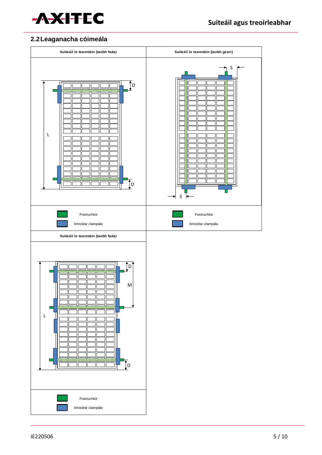

### **2.2Leaganacha cóimeála**

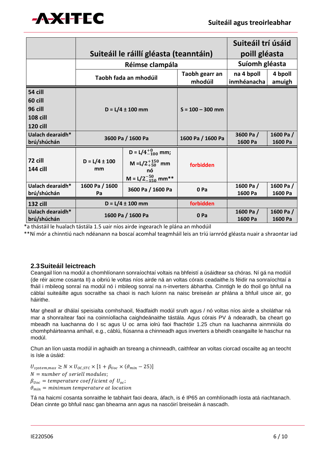

|                                 |                                        |                                   | Suiteáil trí úsáid        |                           |                      |
|---------------------------------|----------------------------------------|-----------------------------------|---------------------------|---------------------------|----------------------|
|                                 | Suiteáil le ráillí gléasta (teanntáin) |                                   |                           | poill gléasta             |                      |
|                                 | Réimse clampála                        |                                   |                           | Suíomh gléasta            |                      |
|                                 | Taobh fada an mhodúil                  |                                   | Taobh gearr an<br>mhodúil | na 4 bpoll<br>inmhéanacha | 4 bpoll<br>amuigh    |
| 54 cill                         |                                        |                                   |                           |                           |                      |
| 60 cill                         | $D = L/4 \pm 100$ mm                   |                                   | $S = 100 - 300$ mm        |                           |                      |
| 96 cill                         |                                        |                                   |                           |                           |                      |
| <b>108 cill</b>                 |                                        |                                   |                           |                           |                      |
| <b>120 cill</b>                 |                                        |                                   |                           |                           |                      |
| Ualach dearaidh*                | 3600 Pa / 1600 Pa                      |                                   | 1600 Pa / 1600 Pa         | 3600 Pa/                  | 1600 Pa/             |
| brú/shúchán                     |                                        |                                   |                           | 1600 Pa                   | 1600 Pa              |
| 72 cill                         | $D = L/4 \pm 100$                      | $D = L/4^{+0}_{-100}$ mm;         |                           |                           |                      |
| <b>144 cill</b>                 | mm                                     | M = $L/2^{+150}_{+50}$ mm         | forbidden                 |                           |                      |
|                                 |                                        | nó<br>M = $L/2_{-150}^{-50}$ mm** |                           |                           |                      |
| Ualach dearaidh*                | 1600 Pa / 1600                         | 3600 Pa / 1600 Pa                 | 0 Pa                      | 1600 Pa/                  | 1600 Pa/             |
| brú/shúchán                     | Pa                                     |                                   |                           | 1600 Pa                   | 1600 Pa              |
| <b>132 cill</b>                 | $D = L/4 \pm 100$ mm                   |                                   | forbidden                 |                           |                      |
| Ualach dearaidh*<br>brú/shúchán | 1600 Pa / 1600 Pa                      |                                   | 0 Pa                      | 1600 Pa/<br>1600 Pa       | 1600 Pa /<br>1600 Pa |

\*a thástáil le hualach tástála 1.5 uair níos airde ingearach le plána an mhodúil

\*\*Ní mór a chinntiú nach ndéanann na boscaí acomhal teagmháil leis an tríú iarnród gléasta nuair a shraontar iad

#### **2.3Suiteáil leictreach**

Ceangail líon na modúl a chomhlíonann sonraíochtaí voltais na bhfeistí a úsáidtear sa chóras. Ní gá na modúil (de réir aicme cosanta II) a oibriú le voltas níos airde ná an voltas córais ceadaithe.Is féidir na sonraíochtaí a fháil i mbileog sonraí na modúl nó i mbileog sonraí na n-inverters ábhartha. Cinntigh le do thoil go bhfuil na cáblaí suiteáilte agus socraithe sa chaoi is nach luíonn na naisc breiseán ar phlána a bhfuil uisce air, go háirithe.

Mar gheall ar dhálaí speisialta comhshaoil, féadfaidh modúl sruth agus / nó voltas níos airde a sholáthar ná mar a shonraítear faoi na coinníollacha caighdeánaithe tástála. Agus córais PV á ndearadh, ba cheart go mbeadh na luachanna do I sc agus U oc arna iolrú faoi fhachtóir 1.25 chun na luachanna ainmniúla do chomhpháirteanna amhail, e.g., cáblú, fiúsanna a chinneadh agus inverters a bheidh ceangailte le haschur na modúl.

Chun an líon uasta modúl in aghaidh an tsreang a chinneadh, caithfear an voltas ciorcad oscailte ag an teocht is ísle a úsáid:

 $U_{system,max} \geq N \times U_{OC,STC} \times [1 + \beta_{Uoc} \times (\vartheta_{min} - 25)]$  $N =$  number of seriell modules;  $\beta_{Uoc}$  = temperature coefficient of  $U_{oc}$ ;  $\vartheta_{\min}$  = minimum temperature at location

Tá na haicmí cosanta sonraithe le tabhairt faoi deara, áfach, is é IP65 an comhlíonadh íosta atá riachtanach. Déan cinnte go bhfuil nasc gan bhearna ann agus na nascóirí breiseáin á nascadh.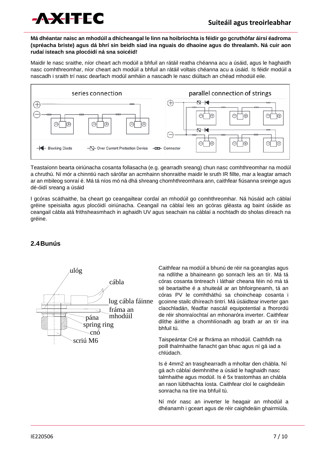

#### **Má dhéantar naisc an mhodúil a dhícheangal le linn na hoibríochta is féidir go gcruthófar áirsí éadroma (spréacha briste) agus dá bhrí sin beidh siad ina nguais do dhaoine agus do threalamh. Ná cuir aon rudaí isteach sna plocóidí ná sna soicéid!**

Maidir le nasc sraithe, níor cheart ach modúil a bhfuil an rátáil reatha chéanna acu a úsáid, agus le haghaidh nasc comhthreomhar, níor cheart ach modúil a bhfuil an rátáil voltais chéanna acu a úsáid. Is féidir modúil a nascadh i sraith trí nasc dearfach modúl amháin a nascadh le nasc diúltach an chéad mhodúil eile.



Teastaíonn bearta oiriúnacha cosanta follasacha (e.g. gearradh sreang) chun nasc comhthreomhar na modúl a chruthú. Ní mór a chinntiú nach sárófar an acmhainn shonraithe maidir le sruth IR fillte, mar a leagtar amach ar an mbileog sonraí é. Má tá níos mó ná dhá shreang chomhthreomhara ann, caithfear fiúsanna sreinge agus dé-óidí sreang a úsáid

I gcóras scáthaithe, ba cheart go ceangailtear cordaí an mhodúil go comhthreomhar. Ná húsáid ach cáblaí gréine speisialta agus plocóidí oiriúnacha. Ceangail na cáblaí leis an gcóras gléasta ag baint úsáide as ceangail cábla atá frithsheasmhach in aghaidh UV agus seachain na cáblaí a nochtadh do sholas díreach na gréine.

#### **2.4Bunús**



Caithfear na modúil a bhunú de réir na gceanglas agus na ndlíthe a bhaineann go sonrach leis an tír. Má tá córas cosanta tintreach i láthair cheana féin nó má tá sé beartaithe é a shuiteáil ar an bhfoirgneamh, tá an córas PV le comhtháthú sa choincheap cosanta i gcoinne stailc dhíreach tintrí. Má úsáidtear inverter gan claochladán, féadfar nascáil equipotential a fhorordú de réir shonraíochtaí an mhonaróra inverter. Caithfear dlíthe áirithe a chomhlíonadh ag brath ar an tír ina bhfuil tú.

Taispeántar Cré ar fhráma an mhodúil. Caithfidh na poill thalmhaithe fanacht gan bhac agus ní gá iad a chlúdach.

Is é 4mm2 an trasghearradh a mholtar den chábla. Ní gá ach cáblaí deimhnithe a úsáid le haghaidh nasc talmhaithe agus modúil. Is é 5x trastomhas an chábla an raon lúbthachta íosta. Caithfear cloí le caighdeáin sonracha na tíre ina bhfuil tú.

Ní mór nasc an inverter le heagair an mhodúil a dhéanamh i gceart agus de réir caighdeáin ghairmiúla.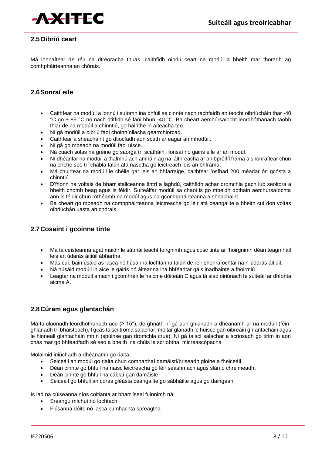

#### **2.5Oibriú ceart**

Má lonnaítear de réir na dtreoracha thuas, caithfidh oibriú ceart na modúl a bheith mar thoradh ag comhpháirteanna an chórais.

#### **2.6Sonraí eile**

- Caithfear na modúil a lonnú i suíomh ina bhfuil sé cinnte nach rachfaidh an teocht oibriúcháin thar -40 °C go + 85 °C nó nach dtitfidh sé faoi bhun -40 °C. Ba cheart aerchúrsaíocht leordhóthanach taobh thiar de na modúil a chinntiú, go háirithe in aíteacha teo.
- Ní gá modúil a oibriú faoi choinníollacha gearrchiorcad.
- Caithfear a sheachaint go dtiocfadh aon scáth ar eagar an mhodúil.
- Ní gá go mbeadh na modúil faoi uisce.
- Ná cuach solas na gréine go saorga trí scátháin, lionsaí nó gairis eile ar an modúl.
- Ní dhéanfar na modúil a thalmhú ach amháin ag na láithreacha ar an bpróifíl fráma a shonraítear chun na críche seo trí chábla talún atá nasctha go leictreach leis an bhfráma.
- Má chuirtear na modúil le chéile gar leis an bhfarraige, caithfear íosfhad 200 méadar ón gcósta a chinntiú.
- D'fhonn na voltais de bharr stailceanna tintrí a laghdú, caithfidh achar dromchla gach lúb seoltóra a bheith chomh beag agus is féidir. Suiteálfar modúil sa chaoi is go mbeidh dóthain aerchúrsaíochta ann is féidir chun róthéamh na modúl agus na gcomhpháirteanna a sheachaint.
- Ba cheart go mbeadh na comhpháirteanna leictreacha go léir atá ceangailte a bheith cuí don voltas oibriúchán uasta an chórais.

#### **2.7Cosaint i gcoinne tinte**

- Má tá ceisteanna agat maidir le sábháilteacht foirgnimh agus cosc tinte ar fhoirgnimh déan teagmháil leis an údarás áitiúil ábhartha.
- Más cuí, bain úsáid as lasca nó fiúsanna lochtanna talún de réir shonraíochtaí na n-údarás áitiúil.
- Ná húsáid modúil in aice le gairis nó áiteanna ina bhféadtar gáis inadhainte a fhoirmiú.
- Leagtar na modúil amach i gcomhréir le haicme dóiteáin C agus tá siad oiriúnach le suiteáil ar dhíonta aicme A.

#### **2.8Cúram agus glantachán**

Má tá claonadh leordhóthanach acu (≥ 15°), de ghnáth ní gá aon ghlanadh a dhéanamh ar na modúil (féinghlanadh trí bháisteach). I gcás taiscí troma salachar, moltar glanadh le huisce gan oibreáin ghlantacháin agus le hinneall glantacháin mhín (spúinse gan dromchla crua). Ní gá taiscí salachar a scriosadh go tirim in aon chás mar go bhféadfadh sé seo a bheith ina chúis le scríobthaí micreascópacha

Molaimid iniúchadh a dhéanamh go rialta:

- Seiceáil an modúl go rialta chun comharthaí damáistí/briseadh gloine a fheiceáil.
- Déan cinnte go bhfuil na naisc leictreacha go léir seashmach agus slán ó chreimeadh.
- Déán cinnte go bhfuil na cáblaí gan damáiste
- Seiceáil go bhfuil an córas gléásta ceangailte go sábháilte agus go daingean

Is iad na cúiseanna níos coitianta ar bharr íseal fuinnimh ná:

- Sreangú míchuí nó lochtach
- Fiúsanna dóite nó lasca cumhachta spreagtha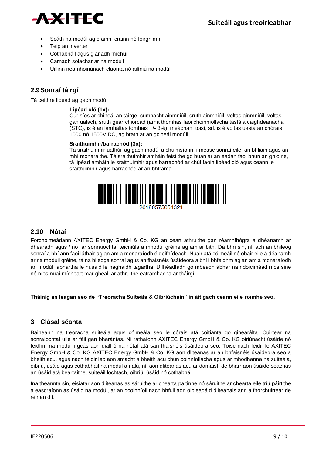

- Scáth na modúl ag crainn, crainn nó foirgnimh
- Teip an inverter
- Cothabháil agus glanadh míchuí
- Carnadh solachar ar na modúil
- Uillinn neamhoiriúnach claonta nó ailíniú na modúl

#### **2.9Sonraí táirgí**

Tá ceithre lipéad ag gach modúl

- **Lipéad cló (1x):**

Cur síos ar chineál an táirge, cumhacht ainmniúil, sruth ainmniúil, voltas ainmniúil, voltas gan ualach, sruth gearrchiorcad (arna thomhas faoi choinníollacha tástála caighdeánacha (STC), is é an lamháltas tomhais +/- 3%), meáchan, toisí, srl. is é voltas uasta an chórais 1000 nó 1500V DC, ag brath ar an gcineál modúil.

- **Sraithuimhir/barrachód (3x):**

Tá sraithuimhir uathúil ag gach modúl a chuimsíonn, i measc sonraí eile, an bhliain agus an mhí monaraithe. Tá sraithuimhir amháin feistithe go buan ar an éadan faoi bhun an ghloine, tá lipéad amháin le sraithuimhir agus barrachód ar chúl faoin lipéad cló agus ceann le sraithuimhir agus barrachód ar an bhfráma.



#### **2.10 Nótaí**

Forchoimeádann AXITEC Energy GmbH & Co. KG an ceart athruithe gan réamhfhógra a dhéanamh ar dhearadh agus / nó ar sonraíochtaí teicniúla a mhodúl gréine ag am ar bith. Dá bhrí sin, níl ach an bhileog sonraí a bhí ann faoi láthair ag an am a monaraíodh é deifnídeach. Nuair atá cóimeáil nó obair eile á déanamh ar na modúil gréine, tá na bileoga sonraí agus an fhaisnéis úsáideora a bhí i bhfeidhm ag an am a monaraíodh an modúl ábhartha le húsáid le haghaidh tagartha. D'fhéadfadh go mbeadh ábhar na ndoiciméad níos sine nó níos nuaí mícheart mar gheall ar athruithe eatramhacha ar tháirgí.

**Tháinig an leagan seo de "Treoracha Suiteála & Oibriúcháin" in áit gach ceann eile roimhe seo.**

#### **3 Clásal séanta**

Baineann na treoracha suiteála agus cóimeála seo le córais atá coitianta go ginearálta. Cuirtear na sonraíochtaí uile ar fáil gan bharántas. Ní ráthaíonn AXITEC Energy GmbH & Co. KG oiriúnacht úsáide nó feidhm na modúl i gcás aon diall ó na nótaí atá san fhaisnéis úsáideora seo. Toisc nach féidir le AXITEC Energy GmbH & Co. KG AXITEC Energy GmbH & Co. KG aon dliteanas ar an bhfaisnéis úsáideora seo a bheith acu, agus nach féidir leo aon smacht a bheith acu chun coinníollacha agus ar mhodhanna na suiteála, oibriú, úsáid agus cothabháil na modúl a rialú, níl aon dliteanas acu ar damáistí de bharr aon úsáide seachas an úsáid atá beartaithe, suiteáil lochtach, oibriú, úsáid nó cothabháil.

Ina theannta sin, eisiatar aon dliteanas as sáruithe ar chearta paitinne nó sáruithe ar chearta eile tríú páirtithe a eascraíonn as úsáid na modúl, ar an gcoinníoll nach bhfuil aon oibleagáid dliteanais ann a fhorchuirtear de réir an dlí.